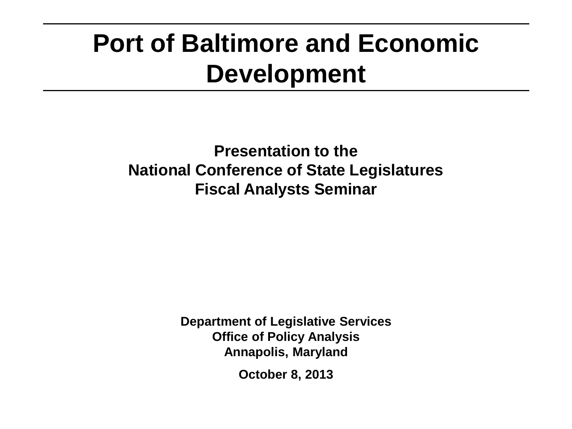### **Port of Baltimore and Economic Development**

**Presentation to the National Conference of State Legislatures Fiscal Analysts Seminar**

> **Department of Legislative Services Office of Policy Analysis Annapolis, Maryland**

> > **October 8, 2013**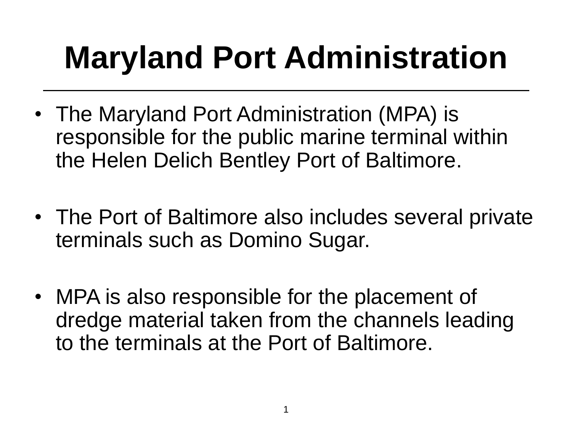# **Maryland Port Administration**

- The Maryland Port Administration (MPA) is responsible for the public marine terminal within the Helen Delich Bentley Port of Baltimore.
- The Port of Baltimore also includes several private terminals such as Domino Sugar.
- MPA is also responsible for the placement of dredge material taken from the channels leading to the terminals at the Port of Baltimore.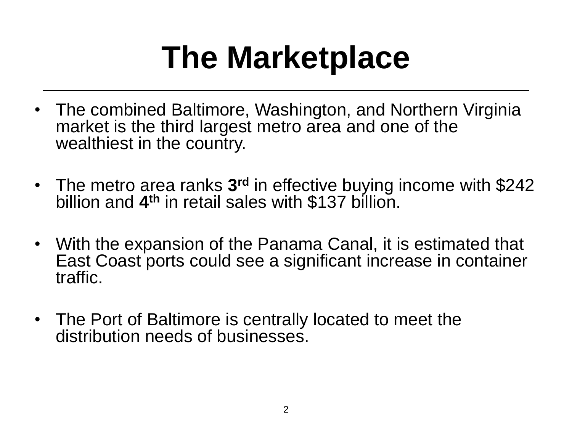# **The Marketplace**

- The combined Baltimore, Washington, and Northern Virginia market is the third largest metro area and one of the wealthiest in the country.
- The metro area ranks 3<sup>rd</sup> in effective buying income with \$242 billion and **4 th** in retail sales with \$137 billion.
- With the expansion of the Panama Canal, it is estimated that East Coast ports could see a significant increase in container traffic.
- The Port of Baltimore is centrally located to meet the distribution needs of businesses.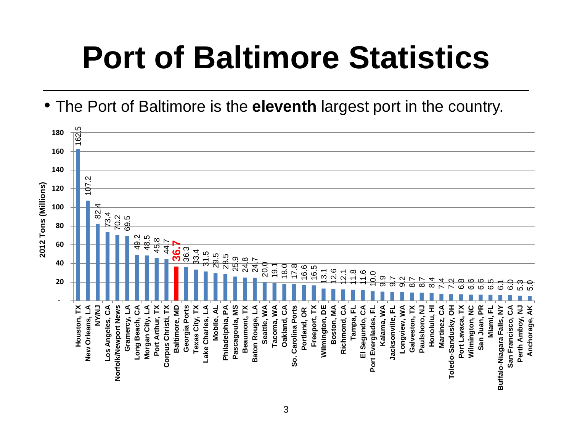# **Port of Baltimore Statistics**

• The Port of Baltimore is the **eleventh** largest port in the country.

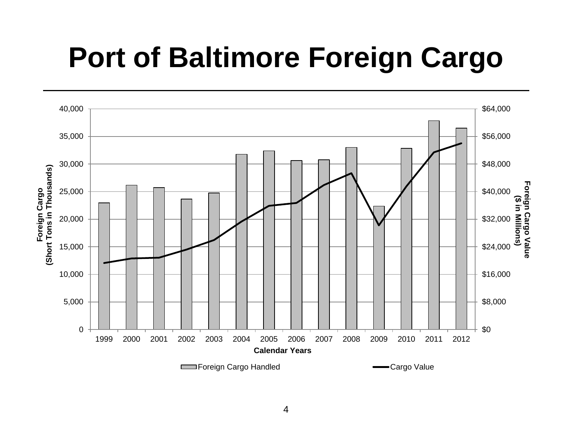### **Port of Baltimore Foreign Cargo**

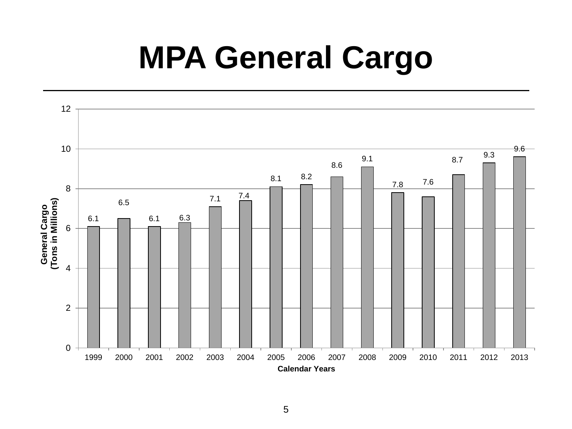## **MPA General Cargo**

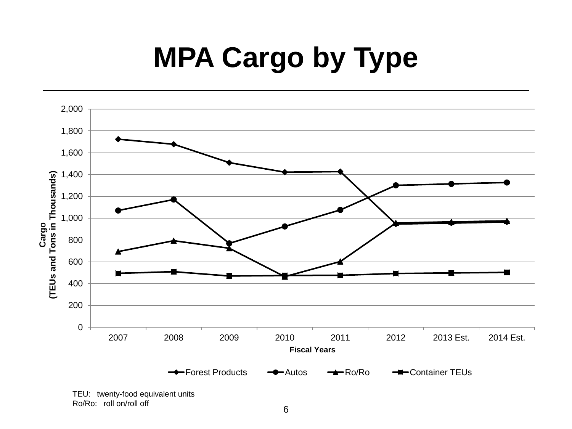## **MPA Cargo by Type**



Ro/Ro: roll on/roll off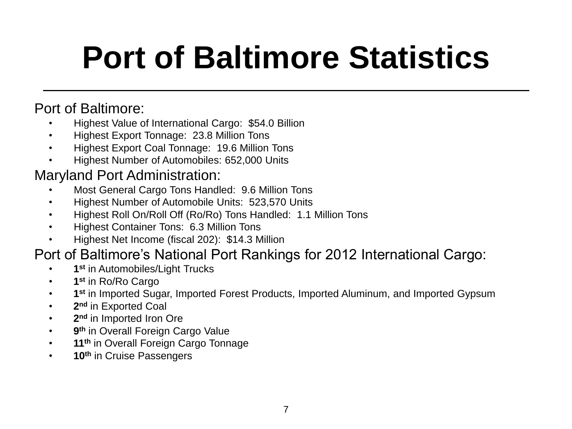# **Port of Baltimore Statistics**

#### Port of Baltimore:

- Highest Value of International Cargo: \$54.0 Billion
- Highest Export Tonnage: 23.8 Million Tons
- Highest Export Coal Tonnage: 19.6 Million Tons
- Highest Number of Automobiles: 652,000 Units

#### Maryland Port Administration:

- Most General Cargo Tons Handled: 9.6 Million Tons
- Highest Number of Automobile Units: 523,570 Units
- Highest Roll On/Roll Off (Ro/Ro) Tons Handled: 1.1 Million Tons
- Highest Container Tons: 6.3 Million Tons
- Highest Net Income (fiscal 202): \$14.3 Million

#### Port of Baltimore's National Port Rankings for 2012 International Cargo:

- **1 st** in Automobiles/Light Trucks
- **1 st** in Ro/Ro Cargo
- **1 st** in Imported Sugar, Imported Forest Products, Imported Aluminum, and Imported Gypsum
- **2 nd** in Exported Coal
- **2 nd** in Imported Iron Ore
- **9 th** in Overall Foreign Cargo Value
- **11th** in Overall Foreign Cargo Tonnage
- **10th** in Cruise Passengers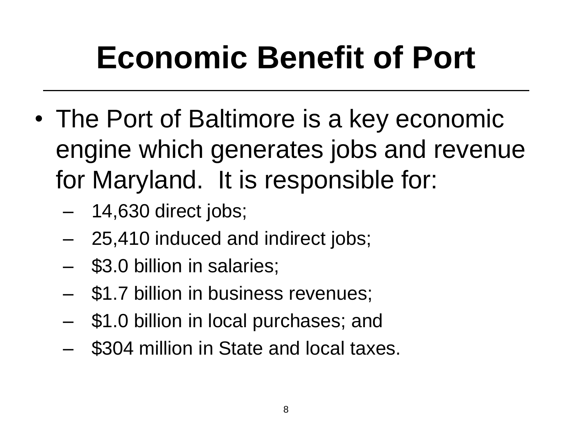# **Economic Benefit of Port**

- The Port of Baltimore is a key economic engine which generates jobs and revenue for Maryland. It is responsible for:
	- 14,630 direct jobs;
	- 25,410 induced and indirect jobs;
	- \$3.0 billion in salaries;
	- \$1.7 billion in business revenues;
	- \$1.0 billion in local purchases; and
	- \$304 million in State and local taxes.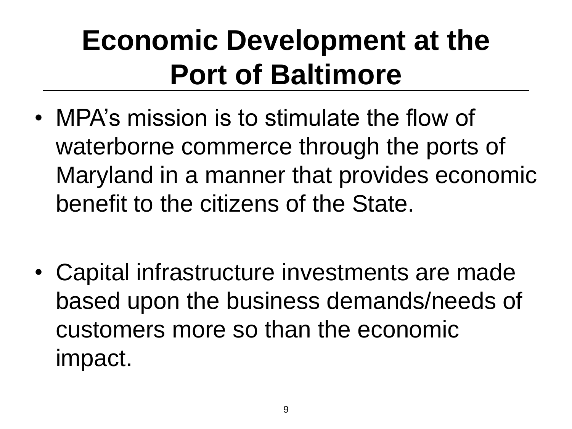### **Economic Development at the Port of Baltimore**

- MPA's mission is to stimulate the flow of waterborne commerce through the ports of Maryland in a manner that provides economic benefit to the citizens of the State.
- Capital infrastructure investments are made based upon the business demands/needs of customers more so than the economic impact.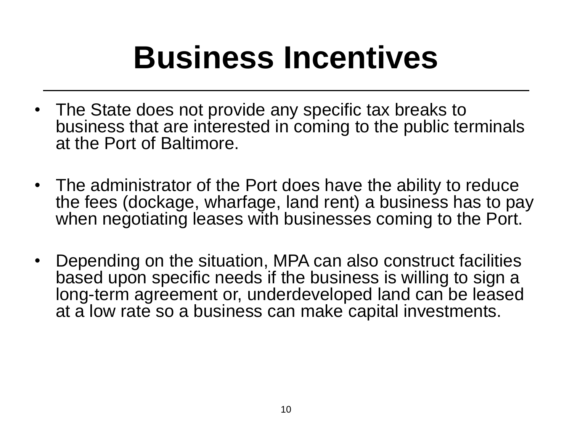# **Business Incentives**

- The State does not provide any specific tax breaks to business that are interested in coming to the public terminals at the Port of Baltimore.
- The administrator of the Port does have the ability to reduce the fees (dockage, wharfage, land rent) a business has to pay when negotiating leases with businesses coming to the Port.
- Depending on the situation, MPA can also construct facilities based upon specific needs if the business is willing to sign a long-term agreement or, underdeveloped land can be leased at a low rate so a business can make capital investments.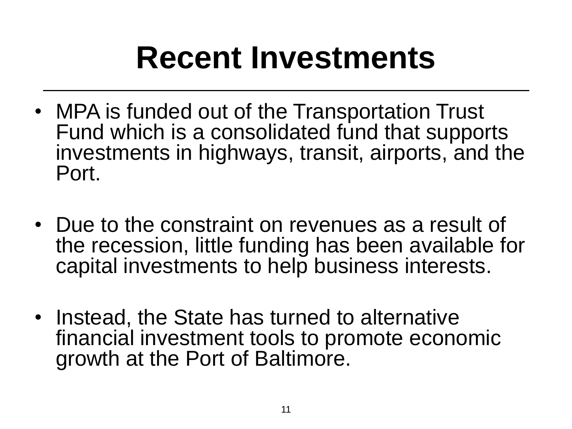## **Recent Investments**

- MPA is funded out of the Transportation Trust Fund which is a consolidated fund that supports investments in highways, transit, airports, and the Port.
- Due to the constraint on revenues as a result of the recession, little funding has been available for capital investments to help business interests.
- Instead, the State has turned to alternative financial investment tools to promote economic growth at the Port of Baltimore.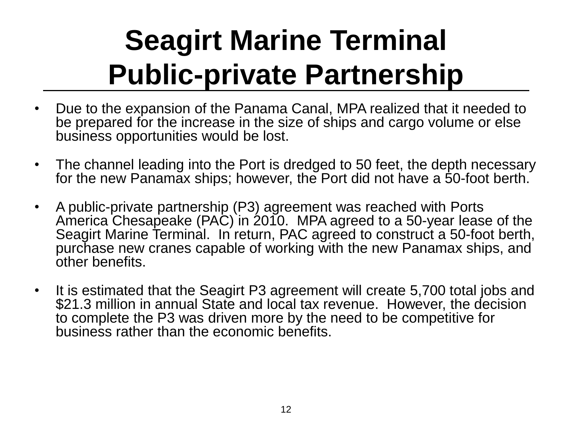## **Seagirt Marine Terminal Public-private Partnership**

- Due to the expansion of the Panama Canal, MPA realized that it needed to be prepared for the increase in the size of ships and cargo volume or else business opportunities would be lost.
- The channel leading into the Port is dredged to 50 feet, the depth necessary for the new Panamax ships; however, the Port did not have a 50-foot berth.
- A public-private partnership (P3) agreement was reached with Ports America Chesapeake (PAC) in 2010. MPA agreed to a 50-year lease of the Seagirt Marine Terminal. In return, PAC agreed to construct a 50-foot berth, purchase new cranes capable of working with the new Panamax ships, and other benefits.
- It is estimated that the Seagirt P3 agreement will create 5,700 total jobs and \$21.3 million in annual State and local tax revenue. However, the decision to complete the P3 was driven more by the need to be competitive for business rather than the economic benefits.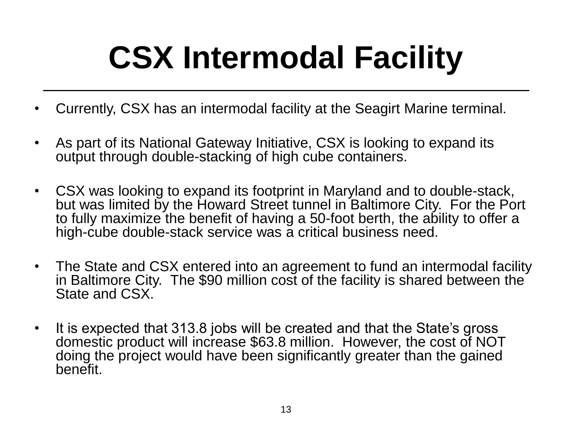# **CSX Intermodal Facility**

- Currently, CSX has an intermodal facility at the Seagirt Marine terminal.
- As part of its National Gateway Initiative, CSX is looking to expand its output through double-stacking of high cube containers.
- CSX was looking to expand its footprint in Maryland and to double-stack, but was limited by the Howard Street tunnel in Baltimore City. For the Port to fully maximize the benefit of having a 50-foot berth, the ability to offer a high-cube double-stack service was a critical business need.
- The State and CSX entered into an agreement to fund an intermodal facility in Baltimore City. The \$90 million cost of the facility is shared between the State and CSX.
- It is expected that 313.8 jobs will be created and that the State's gross domestic product will increase \$63.8 million. However, the cost of NOT doing the project would have been significantly greater than the gained benefit.